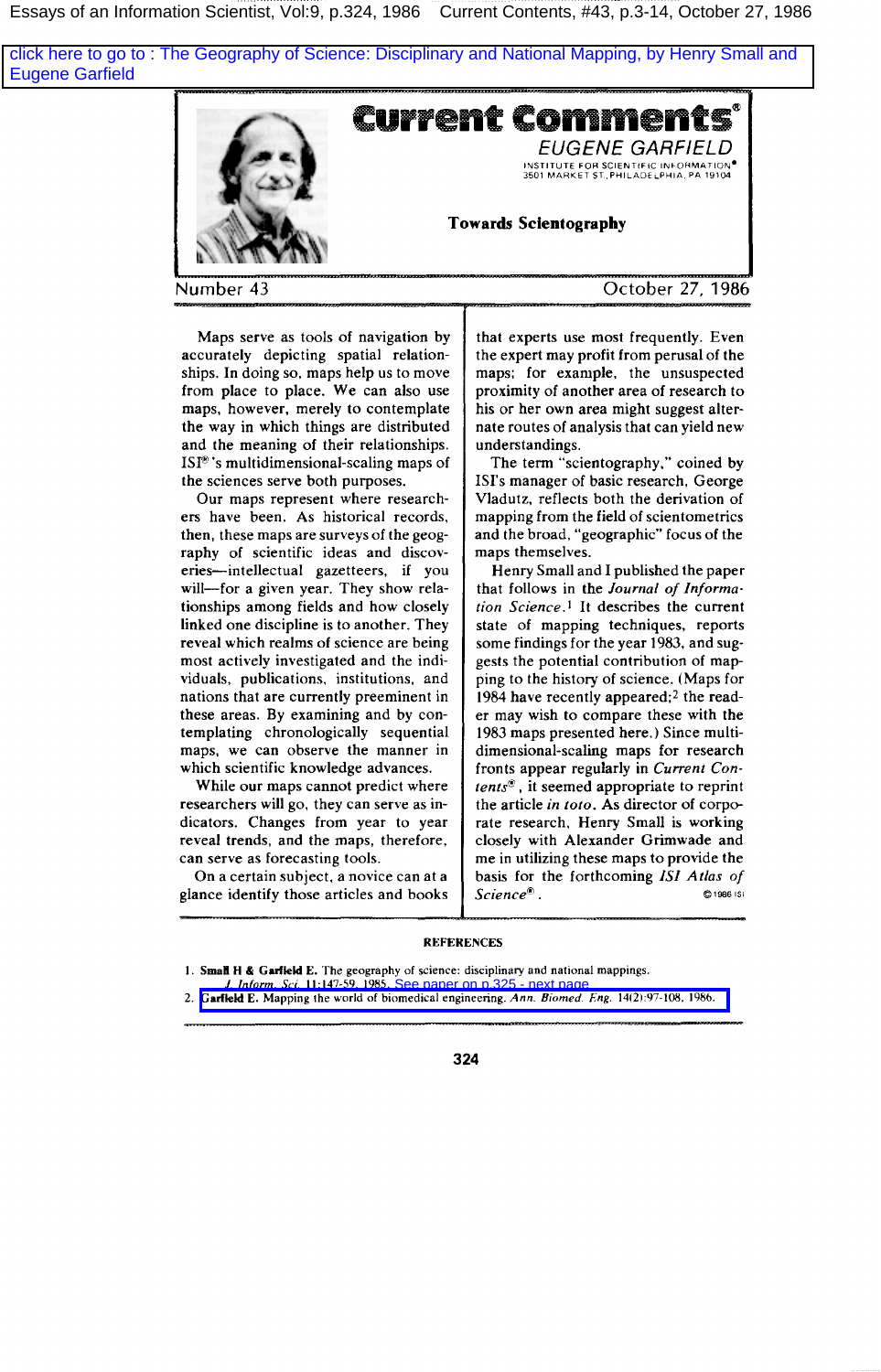Essays of an Information Scientist, Vol:9, p.324, 1986 Current Contents, #43, p.3-14, October 27, 1986

[click here to go to : The Geography of Science: Disciplinary and National Mapping, by Henry Small and](#page-1-0) Eugene Garfield



**Maps serve as tools of navigation by accurately depicting spatial relationships. In doing so, maps help us to move from place to place. We can also use maps, however, merely to contemplate the way in which things are distributed and the meaning of their relationships. ISF's multidimensional-scaling maps of the sciences serve both purposes.**

**Our maps represent where researchers have been. As historical records, then, these maps are surveys of the geography of scientific ideas and discoveries-intellectual gazetteers, if you will—for a given year. They show relationships among fields and how closely linked one discipline is to another. They reveal which realms of science are being most actively investigated and the individuals, publications, institutions, and nations that are currently preeminent in these areas. By examining and by contemplating chronologically sequential maps, we can observe the manner in which scientific knowledge advances.**

**While our maps cannot predict where researchers will go, they can serve as indicators. Changes from year to year reveal trends, and the maps, therefore, can serve as forecasting tools.**

**On a certain subject, a novice can at a glance identify those articles and books** **that experts use most frequently. Even the expert may profit from perusal of the maps; for example, the unsuspected proximity of another area of research to** his or her own area might suggest alter**nate routes of analysis that can yield new understandings,**

**The term "scientography," coined by EN's manager of basic research, George Vladutz, reflects both the derivation of mapping from the field of scientometncs and the broad, "geographic" focus of the maps themselves.**

**Henry Small and I published the paper that follows in the** *Journal of Information Science. 1* It**describes the current state of mapping techniques, reports some findings for the year 1983, and suggests the potential contribution of mapping to the history of science. (Maps for** 1984 have recently appeared;<sup>2</sup> the read**er may wish to compare these with the 1983 maps presented here. ) Since multidimensional-scaling maps for research fronts appear regularly in** *Current Contents@,* it**seemed appropriate to reprint the article** *in toto.* **As director of corp~ rate research, Henry Small is working closely with Alexander Gnmwade and me in utilizing these maps to provide the basis for the forthcoming 1S1** *Atlas of*  $Science<sup>®</sup>$ . *0198.51s1*

## **REFERENCES**



**<sup>1.</sup> SmaH H & Garfkld E. The geography of science: disciplinary and national mappings.**

J. Inform. Sci. 11:147-59, 1985. See paper on p.325 - next page<br>2. Garfield E. Mapping the world of biomedical engineering. Ann. Biomed. Eng. 14(2):97-108, 1986.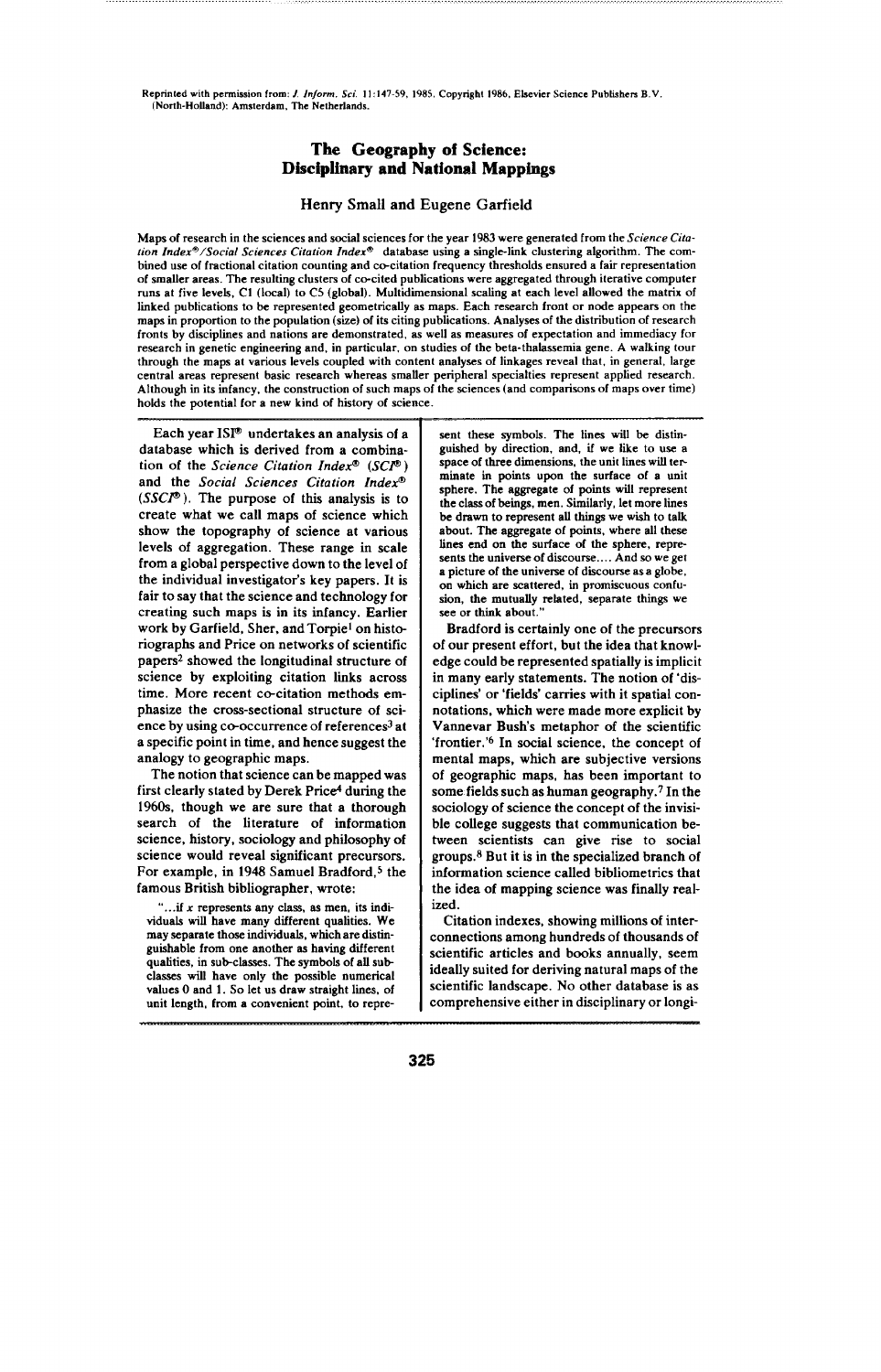<span id="page-1-0"></span>**Reprinted with permission from:** *J, Inform. Sci. 11:147-59, 1985,* **Copyright 1986, Elswier Science Publishers B.V, (North-HoUand): Amsterdam, The Netherlands.**

# **The Geography of Science: Dfscff)lfrltary and National Mappings**

### **Henry Small and Eugene Garfield**

Maps of research in the sciences and social sciences for the year 1983 were generated from the Science Cita*tion* **Indexm /Social Sciences Citation** *Indexa* **database using a single-link clustering algorithm. The combined use of fractional citation counting and recitation frequency thresholds ensured a fair representation of smaller areas. The resulting clusters of co-cited publications were aggregated through iterative computer** runs at five levels, C1 (local) to C5 (global). Multidimensional scaling at each level allowed the matrix of **linked publications to be represented geometrically as maps. Each research front or node appears on the** maps in proportion to the population (size) of its citing publications. Analyses of the distribution of research **fronts by disciplines and nations are demonstrated, ss well ss measures of expectation and immediacy for research in genetic engineering and, in particular, on studies of the beta-thalassemia gene. A walking tour** through the maps at various levels coupled with content analyses of linkages reveal that, in general, large **central arcaa represent basic research whereas smaffer peripheral specialties represent appfied research.** Although in its infancy, the construction of such maps of the sciences (and comparisons of maps over time) **holds the potential for a new kind of hktory of science.**

**Each year ISF undertakes an analysiz of a database which is derived from a combination of the** *Science Citation Index" (SCF )* and the *Social Sciences Citation Inder (SSCP ).* **The** purpose of this analysis is to create what we call maps of science which show the topography of science at various levels of aggregation. These range in scale from a global perspective down to the level of the individual investigator's key papers. It is fair to say that the science and technology for creating such maps is in its infancy. Earlier work by Garfield, Sher, and Torpie<sup>1</sup> on historiographs and **Price on** networks of scientific papers<sup>2</sup> showed the longitudinal structure of science by exploiting citation links across time. More recent co-citation methods emphasize the cross-sectional structure of science by using co-occurrence of references<sup>3</sup> at a specific point in time, and hence suggest the analogy to geographic maps.

The notion that science can be mapped was first clearly stated by Derek Price4 during the 1960s, though we are sure that a thorough search of the literature of information science, history, sociology and philosophy of science would reveal significant precuraora. For example, in 1948 Samuel Bradford,<sup>5</sup> the famous British bibliographer, wrote:

".. .if x **represents any class, as men, its indk viduak will have many different qualities. We**  $m$ ay separate those individuals, which are distin**guishable from one another ss having different quafities, in subclasses. The symbols of aU sub classes tiff have only the possible numerical values O and 1. So let us draw straight ~mes, of unit length, from a convenient point, to repre-** sent these symbols. The lines will be distin**guished by dkection, and, if we lie to use a space of three dmensions, the unit lines will ter minate in points upon the surface of a unit sphere. The aggregate of points wifl represent the class of beings, men, .%rdlarly, let more lines be drawn to represent all things we wish to tslk about. The aggregate of points, where all these lines end on the surface of the sphere, represents the unwerse of discourse ... . And so we get a picture of the universe of d~course as a globe, on which sre scattered, in promiscuous confusion, the mutually dated, separate Udngs we see** or **think about**.

**Bradford is certainly one of the precursors** of our present effort, but the idea that knowledge could be represented spatially is implicit in many early statements. The notion of 'disciplines' or 'fields' carries with it spatial connotations, which were made more explicit by Vannevar Bush's metaphor of the scientific 'frontier.'<sup>6</sup> In social science, the concept of mental maps, which are subjective versions of geographic maps, has been important to some fields such as human geography.7 In the sociology of science the concept of the invisible college auggesta that communication between scientists can give rise to social groups. $8$  But it is in the specialized branch of **information science called** bibliometncs that the idea of mapping science was finally realized.

Citation indexes, showing millions of interconnections among hundreds of thousands of scientific articles and books annually, seem ideally suited for deriving natural maps of the scientific Iandacape. No other database is as comprehensive either in disciplinary or longi-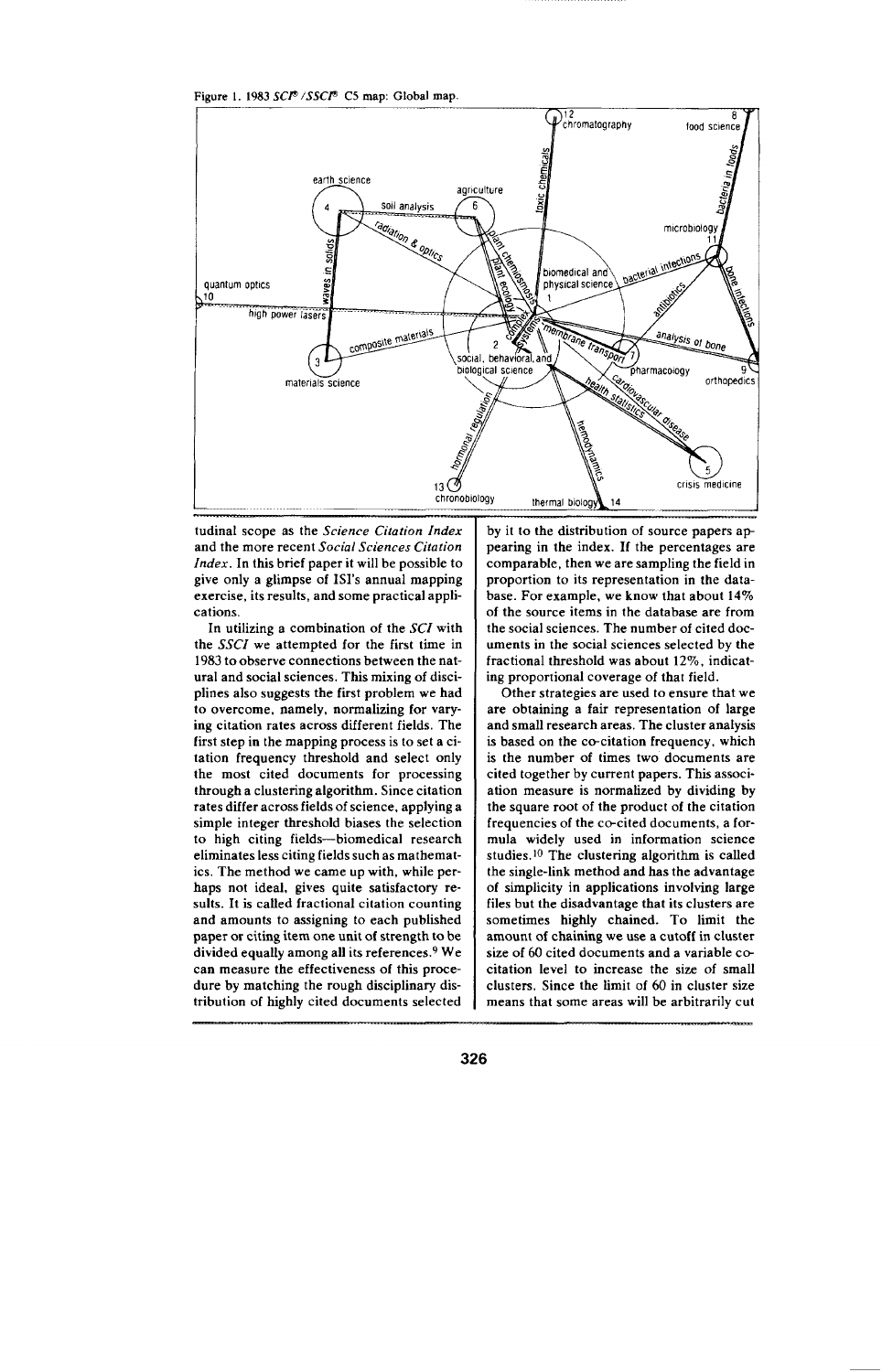Figure 1. 1983 SCP<sup>®</sup> /SSCP® C5 map: Global map.



tudinal scope as the Science Citation Index and the more recent Social Sciences Citation Index. In this brief paper it will be possible to give only a glimpse of ISI's annual mapping exercise, its results, and some practical applications

In utilizing a combination of the SCI with the SSCI we attempted for the first time in 1983 to observe connections between the natural and social sciences. This mixing of disciplines also suggests the first problem we had to overcome, namely, normalizing for varying citation rates across different fields. The first step in the mapping process is to set a citation frequency threshold and select only the most cited documents for processing through a clustering algorithm. Since citation rates differ across fields of science, applying a simple integer threshold biases the selection to high citing fields-biomedical research eliminates less citing fields such as mathematics. The method we came up with, while perhaps not ideal, gives quite satisfactory results. It is called fractional citation counting and amounts to assigning to each published paper or citing item one unit of strength to be divided equally among all its references.<sup>9</sup> We can measure the effectiveness of this procedure by matching the rough disciplinary distribution of highly cited documents selected

by it to the distribution of source papers appearing in the index. If the percentages are comparable, then we are sampling the field in proportion to its representation in the database. For example, we know that about 14% of the source items in the database are from the social sciences. The number of cited documents in the social sciences selected by the fractional threshold was about 12%, indicating proportional coverage of that field.

Other strategies are used to ensure that we are obtaining a fair representation of large and small research areas. The cluster analysis is based on the co-citation frequency, which is the number of times two documents are cited together by current papers. This association measure is normalized by dividing by the square root of the product of the citation frequencies of the co-cited documents, a formula widely used in information science studies.<sup>10</sup> The clustering algorithm is called the single-link method and has the advantage of simplicity in applications involving large files but the disadvantage that its clusters are sometimes highly chained. To limit the amount of chaining we use a cutoff in cluster size of 60 cited documents and a variable cocitation level to increase the size of small clusters. Since the limit of 60 in cluster size means that some areas will be arbitrarily cut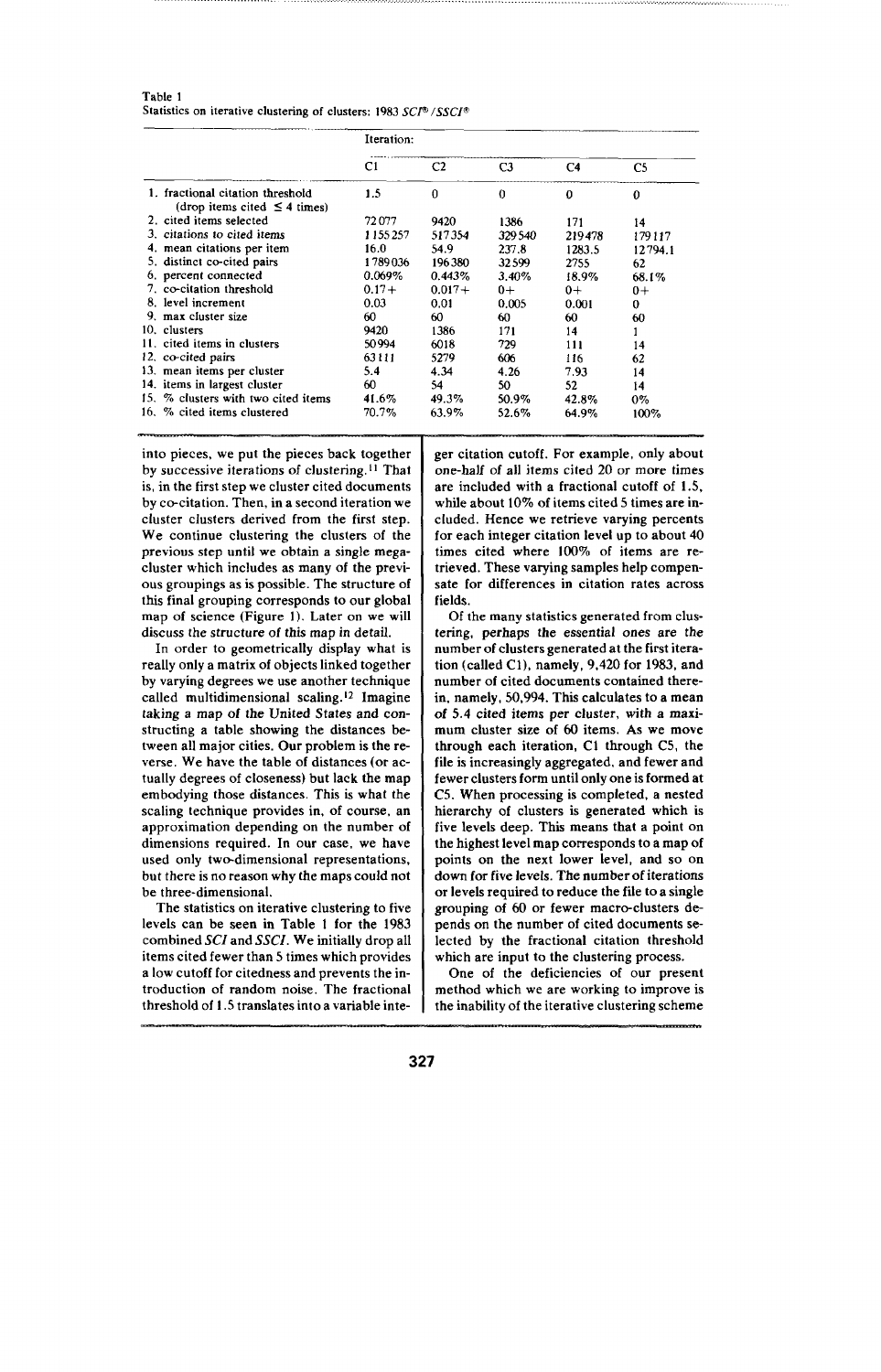| Table 1                                                          |  |
|------------------------------------------------------------------|--|
| Statistics on iterative clustering of clusters: 1983 SCI® /SSCI® |  |

|                                                                       | Iteration: |          |        |        |         |
|-----------------------------------------------------------------------|------------|----------|--------|--------|---------|
|                                                                       | C1         | C2       | C3     | C4     | C5      |
| 1. fractional citation threshold<br>(drop items cited $\leq$ 4 times) | 1.5        | $\bf{0}$ | 0      | 0      | 0       |
| 2. cited items selected                                               | 72077      | 9420     | 1386   | 171    | 14      |
| 3. citations to cited items                                           | 1155257    | 517354   | 329540 | 219478 | 179117  |
| 4. mean citations per item                                            | 16.0       | 54.9     | 237.8  | 1283.5 | 12794.1 |
| 5. distinct co-cited pairs                                            | 1789036    | 196380   | 32599  | 2755   | 62      |
| 6. percent connected                                                  | 0.069%     | 0.443%   | 3.40%  | 18.9%  | 68.1%   |
| 7. co-citation threshold                                              | $0.17+$    | $0.017+$ | $0+$   | $0+$   | $0+$    |
| 8. level increment                                                    | 0.03       | 0.01     | 0.005  | 0.001  | 0       |
| 9. max cluster size                                                   | 60         | 60       | 60     | 60     | 60      |
| 10. clusters                                                          | 9420       | 1386     | 171    | 14     |         |
| 11. cited items in clusters                                           | 50994      | 6018     | 729    | 111    | 14      |
| 12. co-cited pairs                                                    | 63111      | 5279     | 606    | 116    | 62      |
| 13. mean items per cluster                                            | 5.4        | 4.34     | 4.26   | 7.93   | 14      |
| 14. items in largest cluster                                          | 60         | 54       | 50     | 52     | 14      |
| 15. % clusters with two cited items                                   | 41.6%      | 49.3%    | 50.9%  | 42.8%  | 0%      |
| 16. % cited items clustered                                           | 70.7%      | 63.9%    | 52.6%  | 64.9%  | 100%    |

into pieces, we put the pieces back together by successive iterations of clustering.<sup>11</sup> That is, in the first step we cluster cited documents by co-citation. Then, in a second iteration we cluster clusters derived from the first step. We continue clustering the clusters of the previous step until we obtain a single megacluster which includes as many of the previous groupings as is possible. The structure of this final grouping corresponds to our global map of science (Figure 1). Later on we will discuss the structure of this map in detail.

In order to geometrically display what is really only a matrix of objects linked together by varying degrees we use another technique called multidimensional scaling. 'z Imagine taking *a* map of the United States and *con*structing a table showing the distances between all major cities. Our problem is the reverse, We have the table of distances (or actually degrees of closeness) but lack the map embodying those distances. This is what the scaling technique provides in, of course, an approximation depending on the number of dimensions required. In our case, we have used only two-dimensional representations, but there is no reason why the maps could not be three-dimensional.

The statistics on iterative clustering to five levels can be seen in Table 1 for the 1983 combined *SCI* and *SSCI.* We initially drop all items cited fewer than 5 times which provides a low cutoff for citedness and prevents the introduction of random noise. The fractional threshold of 1.5 translates into a variable integer citation cutoff. For example, only about one-half of all items cited 20 or more times are included with a fractional cutoff of 1.5, while about 10% of items cited 5 times are included. Hence we retrieve varying percents for each integer citation level up to about 40 times cited where 100% of items are retrieved. These varying samples help compensate for differences in citation rates across fields.

Of the many statistics generated from clustering, perhaps the essential ones are the number of clusters generated at the first iteration (called Cl), namely, 9,420 for 1983, and number of cited documents contained therein, namely, 50,994. This calculates to a mean of 5.4 cited *items* per cluster, with a maximum cluster size of 60 items. As we move through each iteration, Cl through C5, the file is increasingly aggregated, and fewer and fewer clusters form until only one is formed at C5. When processing is completed, a nested hierarchy of clusters is generated which is five levels deep. This means that a point on the highest level map corresponds to a map of points on the next lower level, and so on down for five levels. The number of iterations or levels required to reduce the file to a single grouping of 60 or fewer macro-clusters depends on the number of cited documents selected by the fractional citation threshold which are input to the clustering process.

One of the deficiencies of our present method which we are working to improve is the inability of the iterative clustering scheme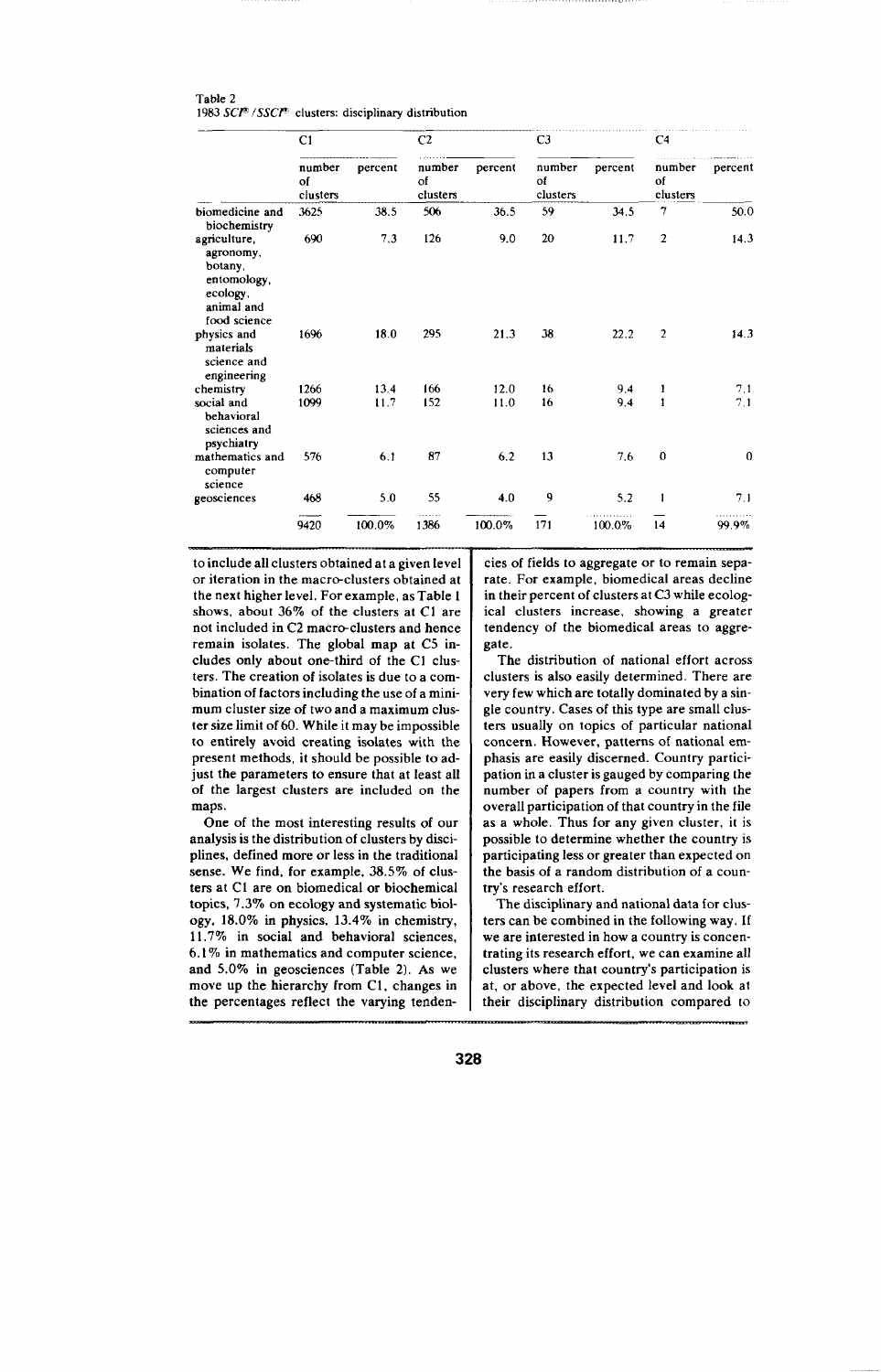| Table 2                                                                 |  |  |
|-------------------------------------------------------------------------|--|--|
| 1983 $SCI^{\circ}$ /SSC $I^{\circ}$ clusters: disciplinary distribution |  |  |

|                                                                                               | C1                       | C <sub>2</sub> |                          |         | C <sub>3</sub>           |         | C <sub>4</sub>           |              |  |
|-----------------------------------------------------------------------------------------------|--------------------------|----------------|--------------------------|---------|--------------------------|---------|--------------------------|--------------|--|
|                                                                                               | number<br>of<br>clusters | percent        | number<br>of<br>clusters | percent | number<br>of<br>clusters | percent | number<br>of<br>clusters | percent      |  |
| biomedicine and<br>biochemistry                                                               | 3625                     | 38.5           | 506                      | 36.5    | 59                       | 34.5    | 7                        | 50.0         |  |
| agriculture,<br>agronomy,<br>botany,<br>entomology,<br>ecology,<br>animal and<br>food science | 690                      | 7.3            | 126                      | 9.0     | 20                       | 11.7    | $\overline{2}$           | 14.3         |  |
| physics and<br>materials<br>science and<br>engineering                                        | 1696                     | 18.0           | 295                      | 21.3    | 38                       | 22.2    | $\overline{2}$           | 14.3         |  |
| chemistry                                                                                     | 1266                     | 13.4           | 166                      | 12.0    | 16                       | 9.4     | 1                        | 7.1          |  |
| social and<br>behavioral<br>sciences and<br>psychiatry                                        | 1099                     | 11.7           | 152                      | 11.0    | 16                       | 9.4     | $\mathbf{1}$             | 7.1          |  |
| mathematics and<br>computer<br>science                                                        | 576                      | 6.1            | 87                       | 6.2     | 13                       | 7.6     | $\mathbf 0$              | $\mathbf{0}$ |  |
| geosciences                                                                                   | 468                      | 5.0            | 55                       | 4.0     | 9                        | 5.2     | $\mathbf{1}$             | 7.1          |  |
|                                                                                               | 9420                     | 100.0%         | 1386                     | 100.0%  | 171                      | 100.0%  | 14                       | 99.9%        |  |

to **include all clusters obtained at** a given level or iteration in the macro-clusters obtained at the next higher level. For example, as Table 1 shows, about 36% of the clusters at C1 are not included in *C2* macro-clusters and hence remain isolates. The global map at C5 **in**cludes only about one-third of the C1 clusters. The creation of isolates is due to a combination of factors incfuding the use of a minimum cluster size of two and a maximum cluster size limit of 60. While it may be impossible to entirely avoid creating isolates with the present methodx, it should be possible to adjust the parameters to ensure that at least all of the largest clusters are included on the maps.

One of the most interesting results of our analysis is the distribution of clusters by disciplines, defined more or less in the traditional sense. We find, for example, 38.5% of clusters at C1 are on biomedical or biochemical topics, 7.3% on ecology and systematic biology,  $18.0\%$  in physics,  $13.4\%$  in chemistry, 11.7% in social and behavioral sciences,  $6.1\%$  in mathematics and computer science. and  $5.0\%$  in geosciences (Table 2). As we move up the hierarchy from Cl, changes in the percentages reflect the varying tendencies of fields to aggregate or to remain separate. For example, biomedical areas decline in their percent of clusters at C3 while ecological clusters increase, showing a greater tendency of the biomedical areas to aggregate.

The distribution of national effort across clusters is also easily determined. There are very few which are totally dominated by a single country. Cases of this type are small clusters usually on topics of particular national concern. However, patterns of national emphasis are easily discerned. Country participation in a cluster is gauged by comparing the number of papers from a country with the overall participation of that country in the file as a whole. Thus for any given cluster, it is possible to determine whether the country is participating less or greater than expected on the basis of a random distribution of a country's research effort.

The disciplinary and national data for clusters can be combined in the following way. If we are interested in how a country is concentrating its research effort, we can examine all clusters where that country's participation is at, or above, the expected level and look at their disciplinary distribution compared to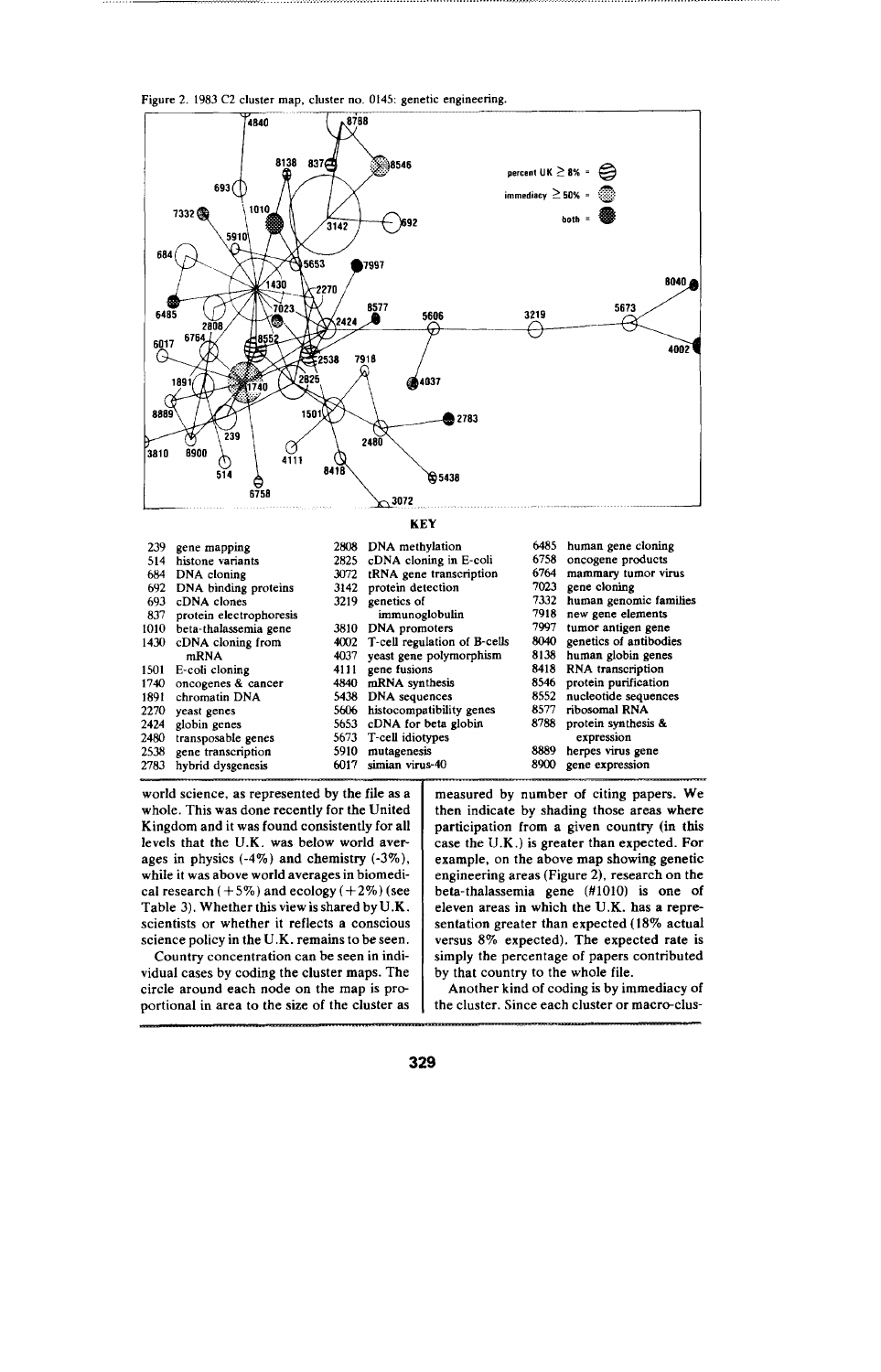**Figure 2. 1983 C2 cluster map, cluster no, 0145: genetic engineering.**



| 684  | DNA cloning             |      | 3072 tRNA gene transcription      | 6764 | mammary tumor virus    |
|------|-------------------------|------|-----------------------------------|------|------------------------|
| 692  | DNA binding proteins    |      | 3142 protein detection            | 7023 | gene cloning           |
| 693  | cDNA clones             | 3219 | genetics of                       | 7332 | human genomic families |
| 837  | protein electrophoresis |      | immunoglobulin                    | 7918 | new gene elements      |
| 1010 | beta-thalassemia gene   |      | 3810 DNA promoters                | 7997 | tumor antigen gene     |
|      | 1430 cDNA cloning from  |      | 4002 T-cell regulation of B-cells | 8040 | genetics of antibodies |
|      | mRNA                    | 4037 | yeast gene polymorphism           | 8138 | human globin genes     |
| 1501 | E-coli cloning          |      | 4111 gene fusions                 |      | 8418 RNA transcription |
| 1740 | oncogenes & cancer      |      | 4840 mRNA synthesis               | 8546 | protein purification   |
| 1891 | chromatin DNA           |      | 5438 DNA sequences                | 8552 | nucleotide sequences   |
| 2270 | yeast genes             |      | 5606 histocompatibility genes     | 8577 | ribosomal RNA          |
| 2424 | globin genes            |      | 5653 cDNA for beta globin         | 8788 | protein synthesis &    |
| 2480 | transposable genes      |      | 5673 T-cell idiotypes             |      | expression             |
|      | 2538 gene transcription | 5910 | mutagenesis                       | 8889 | herpes virus gene      |
| 2783 | hybrid dysgenesis       | 6017 | simian virus-40                   | 8900 | gene expression        |

world science, as represented by the file as a whole. This was done recently for the United Kingdom and it was found consistently for all levels that the U.K. was below world averages in physics  $(-4\%)$  and chemistry  $(-3\%)$ , while it was above world averages in biomedical research  $(+5\%)$  and ecology  $(+2\%)$  (see Table 3). Whether this view is shared by U .K. scientists or whether it reflects a conscious science policy in the U.K. remains to be seen.

Country concentration can be seen in individual cases by coding the cluster maps. The circle around each node on the map is proportional in area to the size of the cluster as

measured by number of citing papers. We then indicate by shading those areas where participation from a given country (in this case the **U.K. ) is** greater than expected. For example, on the above map showing genetic engineering areas (Figure 2), research on the beta-thalassemia gene (#1010) is one of eleven areas in which the U.K. has a representation greater than expected (18'% actual versus 8% expected). The expected rate is simply the percentage of papers contributed by that country to the whole file.

Another kind of coding is by immediacy of the cluster. Since each cluster or macro-clus-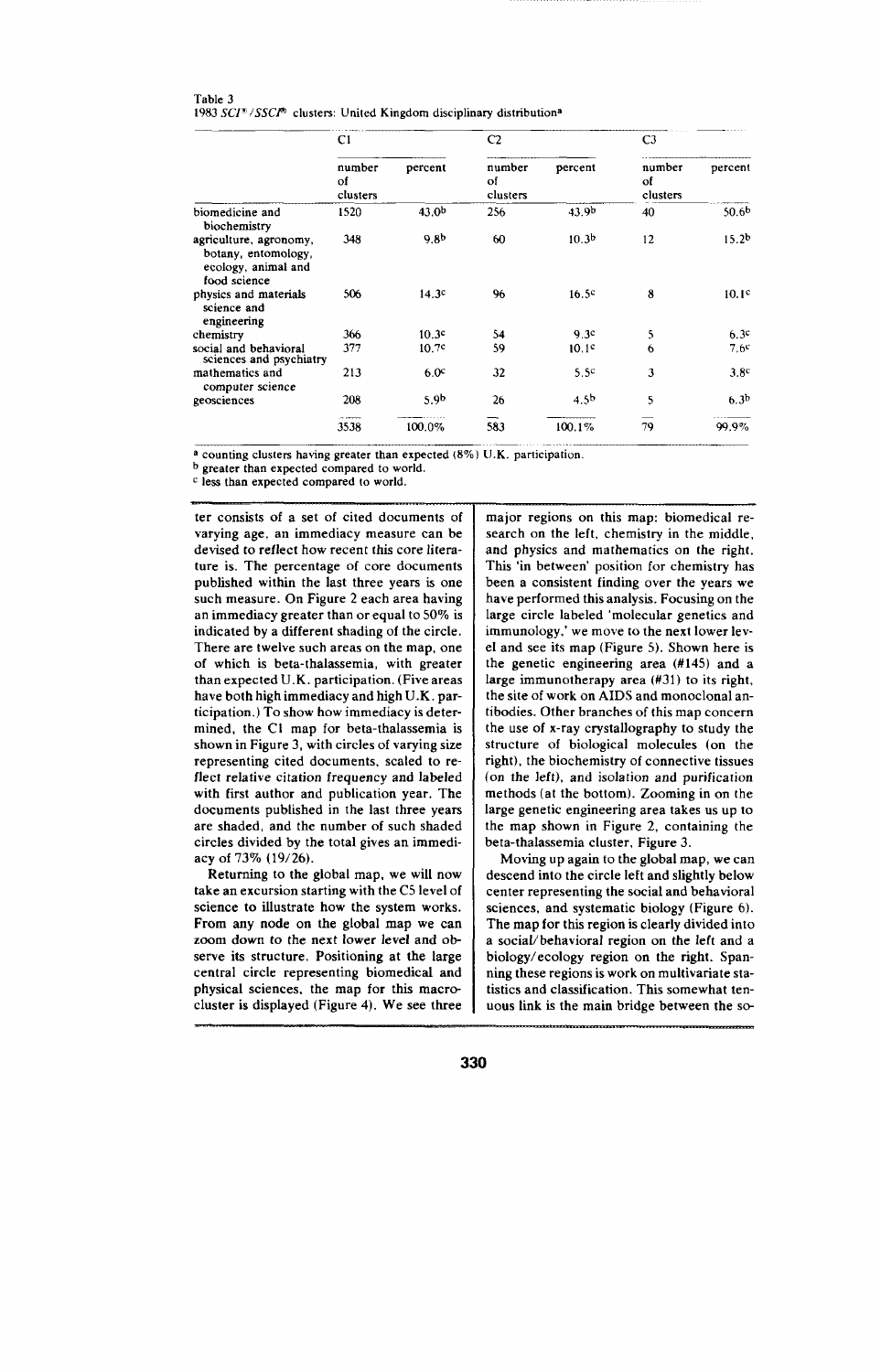| Table 3                                                                           |  |  |  |
|-----------------------------------------------------------------------------------|--|--|--|
| 1983 SCI® / SSCI® clusters: United Kingdom disciplinary distribution <sup>a</sup> |  |  |  |

|                                                                                      | C1                       |                   | C <sub>2</sub>           |                   | C <sub>3</sub>           |                   |
|--------------------------------------------------------------------------------------|--------------------------|-------------------|--------------------------|-------------------|--------------------------|-------------------|
|                                                                                      | number<br>of<br>clusters | percent           | number<br>ot<br>clusters | percent           | number<br>of<br>clusters | percent           |
| biomedicine and<br>biochemistry                                                      | 1520                     | 43.0 <sup>b</sup> | 256                      | 43.9 <sup>b</sup> | 40                       | 50.6 <sup>b</sup> |
| agriculture, agronomy,<br>botany, entomology,<br>ecology, animal and<br>food science | 348                      | 9.8 <sup>b</sup>  | 60                       | 10.3 <sup>b</sup> | 12                       | 15.2 <sup>b</sup> |
| physics and materials<br>science and<br>engineering                                  | 506                      | 14.3c             | 96                       | 16.5 <sup>c</sup> | 8                        | 10.1 <sup>c</sup> |
| chemistry                                                                            | 366                      | 10.3 <sup>c</sup> | 54                       | 9.3c              | 5                        | 6.3c              |
| social and behavioral<br>sciences and psychiatry                                     | 377                      | 10.7 <sup>c</sup> | 59                       | 10.1c             | 6                        | 7.6c              |
| mathematics and<br>computer science                                                  | 213                      | 6.0°              | 32                       | 5.5 <sup>c</sup>  | 3                        | 3.8 <sup>c</sup>  |
| geosciences                                                                          | 208                      | 5.9 <sup>b</sup>  | 26                       | 4.5 <sup>b</sup>  | 5                        | 6.3 <sup>b</sup>  |
|                                                                                      | 3538                     | 100.0%            | 583                      | 100.1%            | 79                       | 99.9%             |

**. a counting clustem having greater than expected (8%) U.K. participation.**

**b greater than expected compared to world.**

**c less than expected compared to world.**

ter consixts of a set of cited documents of varying age, an immediacy measure can be devised to reflect how recent this core literature is. The percentage of core documents published within the last three years is one such measure. On Figure 2 each area having an immediacy greater than or equal to 50% is indicated by a different shading of the circle. There are twelve such areas on the map, one of which is beta-thalassemia, with greater than expected U.K. participation. (Five areas have both high immediacy and high U.K. participation. ) To show how immediacy is determined, the C1 map for beta-thalassemia is shown in Figure 3, with circles of varying size representing cited documents, scaled to reflect relative citation frequency and labeled with first author and publication year. The documents published in the last three years are shaded, and the number of such shaded circles divided by the total gives an immediacy of 73% (19/26).

Returning to the global map, we will now take an excursion starting with the C5 level of science to illustrate how the system works. **From any node on** the **global map we can zoom down to** the next lower level **and observe its structure. Positioning at the large central circle representing biomedical and** physical sciences, the map for this macrocluster is displayed (Figure 4). We see three major regions on this map: biomedical research on the left, chemistry in the middle, and physics and mathematics on the right. This 'in between' position for chemistry has been a consistent finding over the years we have performed this analysis. Focusing on the large circle labeled 'molecular genetics and immunology,' we move to the next lower level and see its map (Figure 5). Shown here is the genetic engineering area (#145) and a large immunotherapy area  $(H31)$  to its right, the site of work on AIDS and monoclonal antibodies. Other branches of this map concern the use of x-ray crystallography to study the structure of biological molecules (on the right), the biochemistry of connective tissues **(on the** left), and isolation and purification methods (at the bottom). Zooming in on the large genetic engineering area takes us up to the map shown in Figure 2, containing the beta-thalassemia cluster, Figure 3.

Moving up again to the global map, we can descend into the circle left and slightly below center representing the social and behavioral sciences, and systematic biology (Figure 6). The map for this region is clearly divided into a social/behavioral region on the left and a biology/ecology region on the right. Spanning these regions is work on multivariate statistics and classification. This somewhat tenuous link is the main bridge between the so-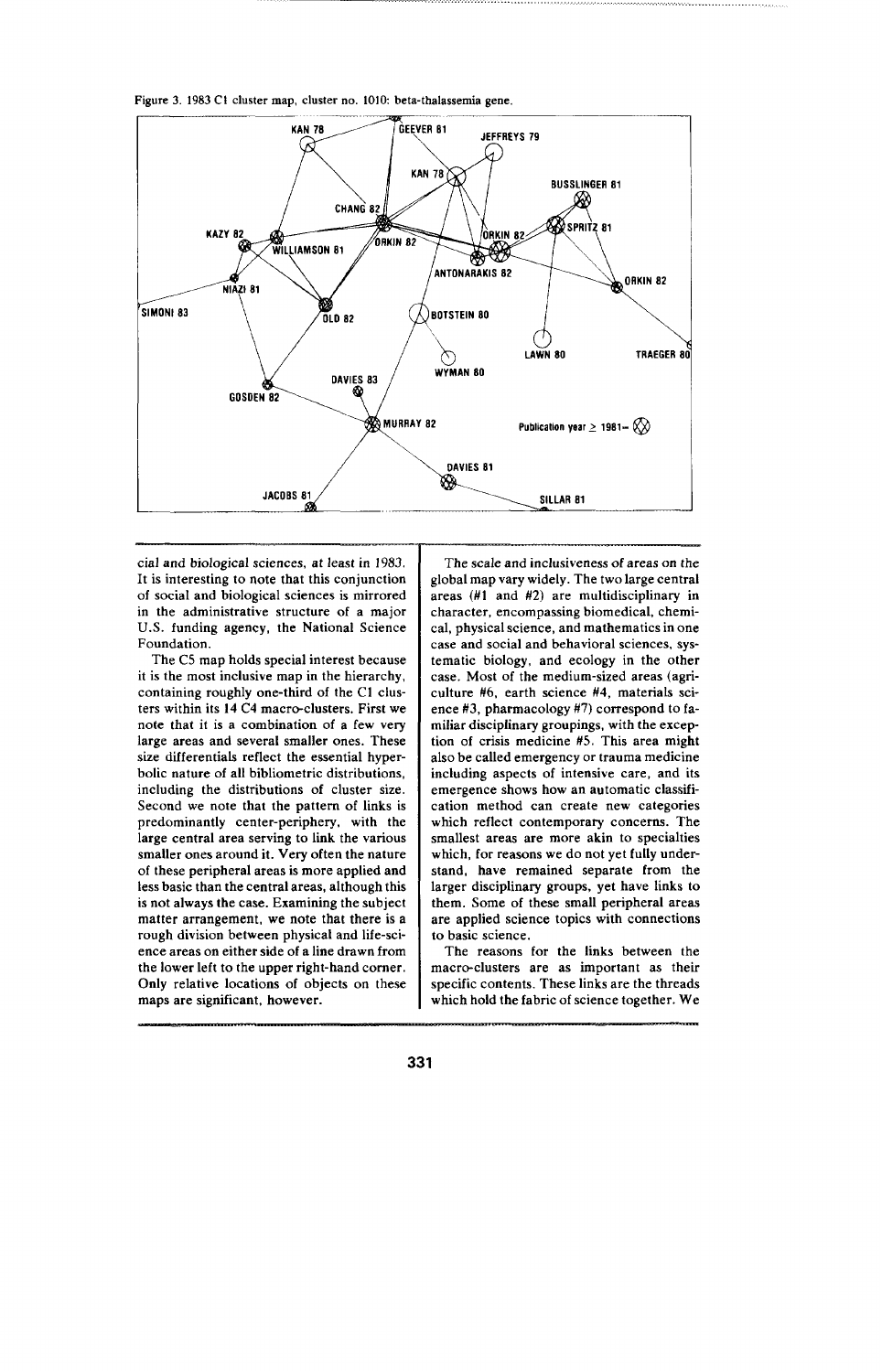Figure 3. 1983 C1 cluster map, cluster no. 1010: beta-thalassemia gene,



cial and biological sciences, at least in 1983. It is interesting to note that this conjunction of social and biological sciences is mirrored in the administrative structure of a major U.S. funding agency, the National Science Foundation.

The C5 map holds special interest because it is the most inclusive map in the hierarchy, containing roughly one-third of the C1 clusters within its 14 C4 macro-clusters. First we note that it is a combination of a few very large areas and several smaller ones. These size differentials reflect the essential hyperbolic nature of all bibliometric distributions, including the distributions of cluster size. Second we note that the pattern of links is predominantly center-periphery, with the large central area serving to link the various smaller ones around it. Very often the nature of these peripheral areas is more applied and less basic than the central areas, although this is not always the case. Examining the subject matter arrangement, we note that there is a rough division between physical and life-science areas on either side of a line drawn from the lower left to the upper right-hand corner. Only relative locations of objects on these maps are significant, however.

The scale and inclusiveness of areas on the global map vary widely. The two large central areas (#1 and #2) are multidisciplinary in character, encompassing biomedical, chemical, physical science, and mathematics in one case and social and behavioral sciences, systematic biology, and ecology in the other case. Most of the medium-sized areas (agriculture #6, earth science #4, materials science  $#3$ , pharmacology  $#7$ ) correspond to familiar disciplinary groupings, with the exception of crisis medicine #5. This area might also be called emergency or trauma medicine including aspects of intensive care, and its emergence shows how an automatic classification method can create new categories which reflect contemporary concerns. The smallest areas are more akin to specialties which, for reasons we do not yet fully understand, have remained separate from the larger disciplinary groups, yet have links to them. Some of these small peripheral areas are applied science topics with connections to basic science.

The reasons for the links between the macro-clusters are as important as their specific contents. These links are the threads which hold the fabric of science together. We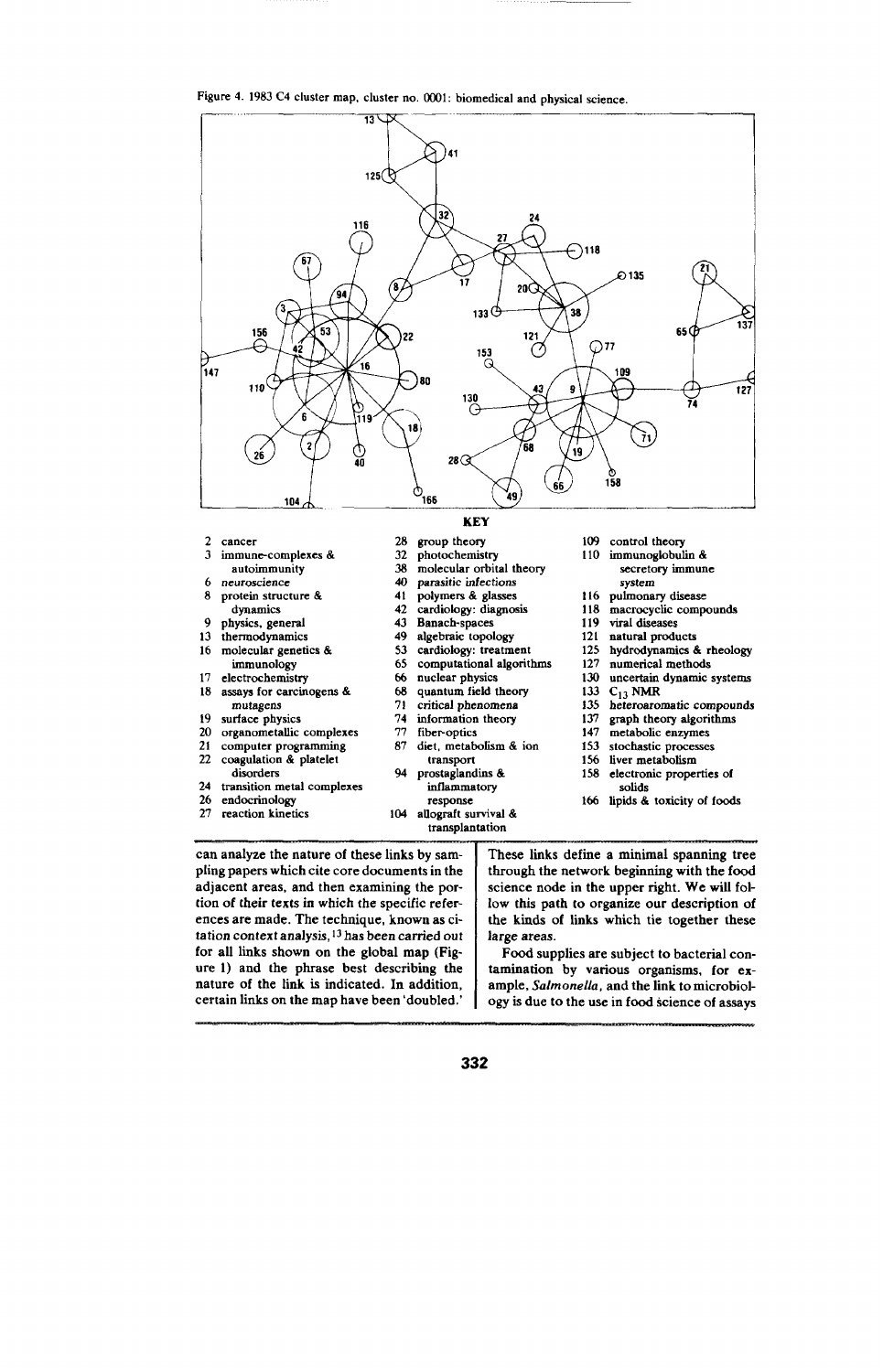

| immune-complexes &<br>autoimmunity<br>neuroscience<br>protein structure &<br>dynamics<br>physics, general<br>thermodynamics<br>13 | 32<br>38<br>40<br>41<br>42<br>43 | photochemistry<br>molecular orbital theory<br>parasitic infections<br>polymers & glasses<br>cardiology: diagnosis | 110<br>116 |
|-----------------------------------------------------------------------------------------------------------------------------------|----------------------------------|-------------------------------------------------------------------------------------------------------------------|------------|
|                                                                                                                                   |                                  |                                                                                                                   |            |
|                                                                                                                                   |                                  |                                                                                                                   |            |
|                                                                                                                                   |                                  |                                                                                                                   |            |
|                                                                                                                                   |                                  |                                                                                                                   |            |
|                                                                                                                                   |                                  |                                                                                                                   | 118        |
|                                                                                                                                   |                                  | Banach-spaces                                                                                                     | 119        |
|                                                                                                                                   | 49                               | algebraic topology                                                                                                | 121        |
| molecular genetics &                                                                                                              | 53                               | cardiology: treatment                                                                                             | 125        |
| immunology                                                                                                                        | 65                               | computational algorithms                                                                                          | 127        |
| electrochemistry                                                                                                                  | 66                               | nuclear physics                                                                                                   | 130        |
| 18 -<br>assays for carcinogens &                                                                                                  | 68                               | quantum field theory                                                                                              | 133        |
| mutagens                                                                                                                          | 71                               | critical phenomena                                                                                                | 135        |
| surface physics                                                                                                                   | 74                               | information theory                                                                                                | 137        |
| organometallic complexes                                                                                                          | 77                               | fiber-optics                                                                                                      | 147        |
| computer programming                                                                                                              | 87                               | diet, metabolism & ion                                                                                            | 153        |
| coagulation & platelet                                                                                                            |                                  | transport                                                                                                         | 156        |
| disorders                                                                                                                         | 94                               | prostaglandins &                                                                                                  | 158        |
| transition metal complexes                                                                                                        |                                  | inflammatory                                                                                                      |            |
| 26<br>endocrinology                                                                                                               |                                  | response                                                                                                          | 166        |
| reaction kinetics                                                                                                                 | 104                              | allograft survival &<br>transplantation                                                                           |            |
|                                                                                                                                   |                                  |                                                                                                                   |            |

can analyze the nature of these links by sampling papers which cite core documents in the adjacent areas, and then examining the portion of their texts in which the specific references are made. The technique, known aa citation context analysis, 13has been carried out for all links shown on the global map (Figure 1) and the phrase best describing the nature of the fink is indicated. In addition, certain links on the map have been 'doubled.'

**fipids & tosicity of foods** These links define a minimal spanning tree through the network beginning with the food

**control** theory **immunoglobulin & secretory immune system**

**C,3 NMR**

**solids**

pulmonary disease<br>macrocyclic compound **viral** diseases **natural products hydrodynamics & rheology numerical methods uncertain dynamic systems**

**heteroaromstic compounds graph theo~ algorithms metabofic enzymes stochastic processes liver metabolism electronic properties of**

science node in the upper right. We will follow this path to organize our description of the kinds of links which tie together these large areas.

Food supplies are subject to bacterial contamination by various organisms, for example, *Salmonella*, and the link to microbiology is due to the use in food science of assays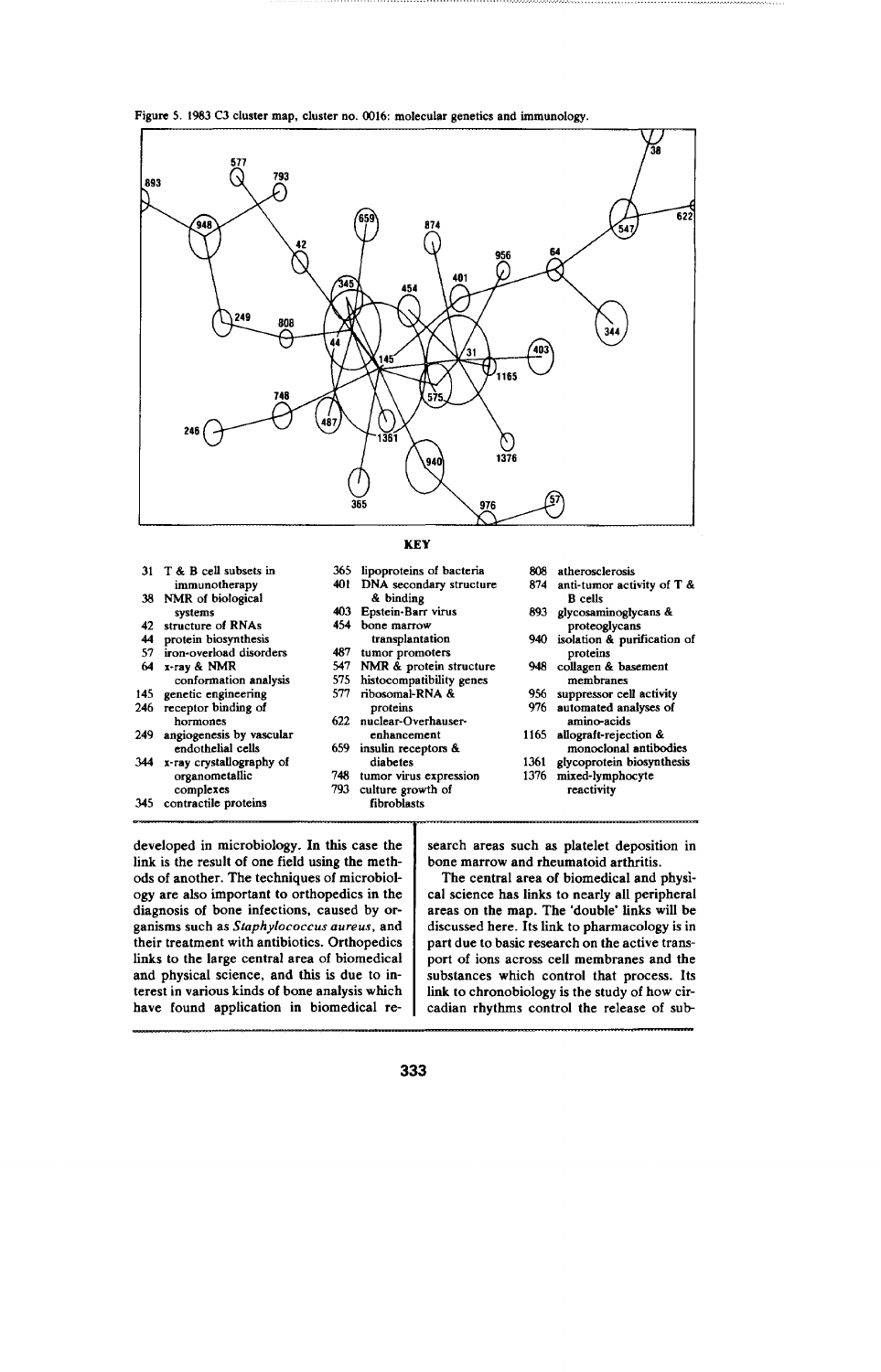Figure 5. 1983 C3 cluster map, cluster no. 0016: molecular genetics and immunology.



|     |                                       |            | <b>KEY</b>                           |      |                                                |
|-----|---------------------------------------|------------|--------------------------------------|------|------------------------------------------------|
|     | 31 T & B cell subsets in              | 365<br>401 | lipoproteins of bacteria             | 808  | atherosclerosis                                |
|     | immunotherapy<br>38 NMR of biological |            | DNA secondary structure<br>& binding | 874. | anti-tumor activity of $T$ &<br><b>B</b> cells |
|     | systems                               | 403.       | Epstein-Barr virus                   | 893  | glycosaminoglycans &                           |
| 42  | structure of RNAs                     | 454        | bone marrow                          |      | proteoglycans                                  |
| 44  | protein biosynthesis                  |            | transplantation                      |      | 940 isolation & purification of                |
| 57  | iron-overload disorders               | 487        | tumor promoters                      |      | proteins                                       |
| 64  | x-ray & NMR                           | 547        | NMR & protein structure              |      | 948 collagen & basement                        |
|     | conformation analysis                 | 575        | histocompatibility genes             |      | membranes                                      |
| 145 | genetic engineering                   | 577        | ribosomal-RNA &                      |      | 956 suppressor cell activity                   |
| 246 | receptor binding of                   |            | proteins                             | 976. | automated analyses of                          |
|     | hormones                              | 622.       | nuclear-Overhauser-                  |      | amino-acids                                    |
| 249 | angiogenesis by vascular              |            | enhancement                          | 1165 | allograft-rejection &                          |
|     | endothelial cells                     | 659.       | insulin receptors &                  |      | monoclonal antibodies                          |
| 344 | x-ray crystallography of              |            | diabetes                             | 1361 | glycoprotein biosynthesis                      |
|     | organometallic                        | 748        | tumor virus expression               | 1376 | mixed-lymphocyte                               |
|     | complexes                             | 793        | culture growth of                    |      | reactivity                                     |
| 345 | contractile proteins                  |            | fibroblasts                          |      |                                                |

developed in microbiology. In this case the link is the result of one field using the methods of another. The techniques of microbiology are also important to orthopedics in the diagnosis of bone infections, caused by organisms such as Staphylococcus aureus, and their treatment with antibiotics. Orthopedics links to the large central area of biomedical and physical science, and this is due to interest in various kinds of bone analysis which have found application in biomedical re-

search areas such as platelet deposition in bone marrow and rheumatoid arthritis.

The central area of biomedical and physical science has links to nearly all peripheral areas on the map. The 'double' links will be discussed here. Its link to pharmacology is in part due to basic research on the active transport of ions across cell membranes and the substances which control that process. Its link to chronobiology is the study of how circadian rhythms control the release of sub-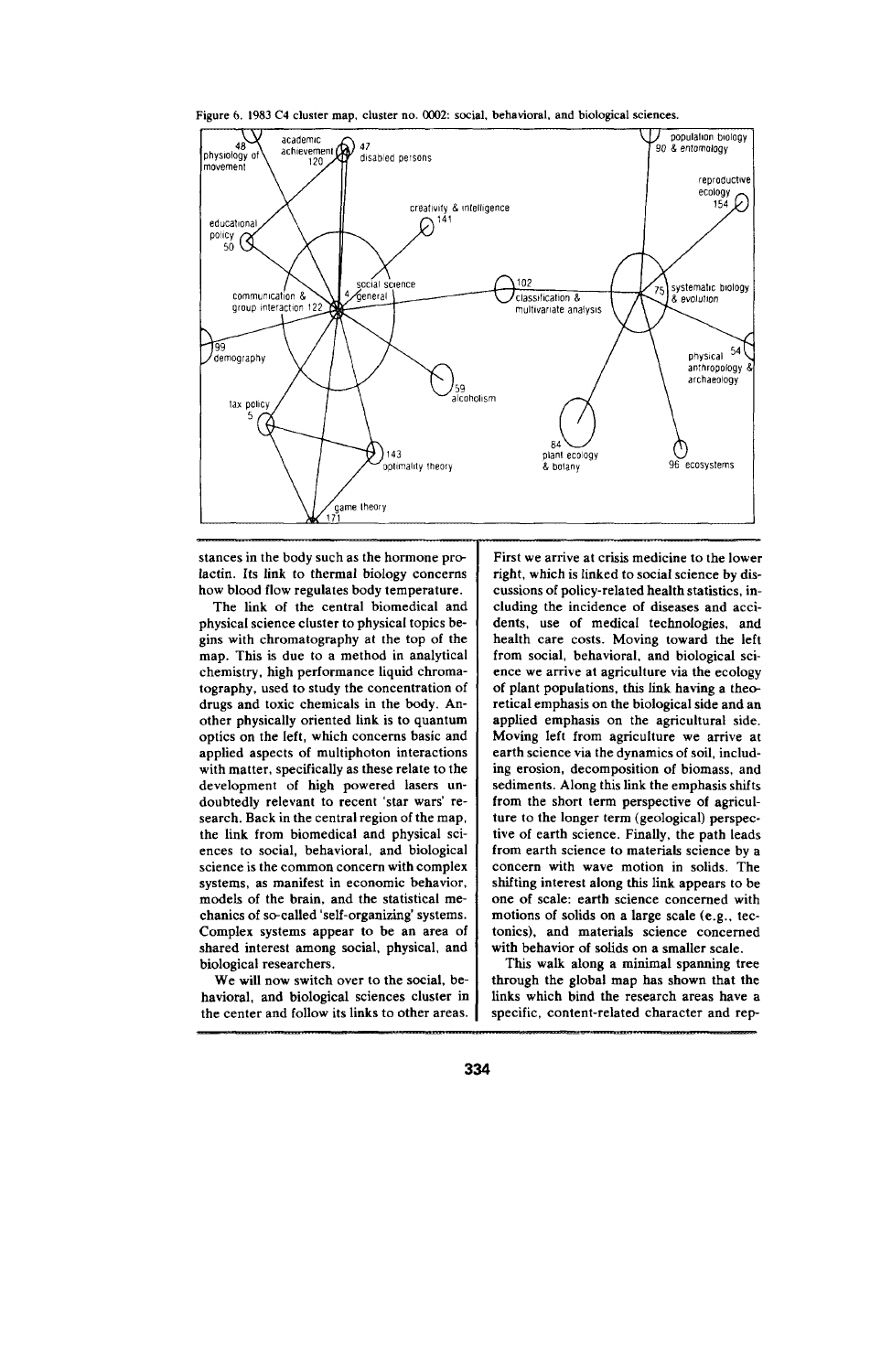**Figure 6. 1983 C4 clus:er map, cluster no.** 0002: social, behavioral, and biological sciences.



stances in the body such as the hormone prolactin. Its link to thermal biology concerns how blood flow regulates body temperature.

The link of the central biomedical and physical science cluster to physical topics begins with chromatography at the top of the map. This is due to a method in analytical chemistry, high performance liquid chromatography, used to study the concentration of drugs and toxic chemicals in the body. Another physically oriented link is to quantum optics on the left, which concerns basic and applied **aspects** of multiphoton interactions with matter, specifically as these relate to the development of high powered lasers undoubtedly relevant to recent 'star wars' research. Back in the central region of the map, the link from biomedical and physical sciences to social, behavioral, and biological science is the common concern with complex systems, as manifest in economic behavior, models of the brain, and the statistical mechanics of so-called 'self-organizing' systems. Complex systems appear to be an area of shared interest among social, physical, and biological researchers.

We will now switch over to the social, behavioral, and biological sciences cluster in the center and follow its links to other areas.

First we arrive at crisis medicine to the lower right, which is linked to social science by discussions of policy-related health statistics, including the incidence of diseases and accidents, use of medical technologies, and health care costs. Moving toward the left from social, behavioral, and biological science we arrive at agriculture via the ecology of plant populations, this link having a theoretical emphasis on the biological side and an **applied emphasis on the agricultural side. Moving left from agriculture we arrive at earth science via the dynamics of soil, including erosion, decomposition of biomass, and sediments.** Along this link the emphasis shifts **from the short term perspective of agriculture to the longer term (geological) perspective of earth science. Finally, the path leads** from earth science to materials science by a concern with wave motion in solids. The shtiting interest along this link appears to be one of scale: earth science concerned with motions of solids on a large scale (e.g., tectonics), and materials science concerned with behavior of solids on a smaller scale.

This walk along a minimal spanning tree through the global map has shown that the links which bind the research areas have a specific, content-related character and rep-